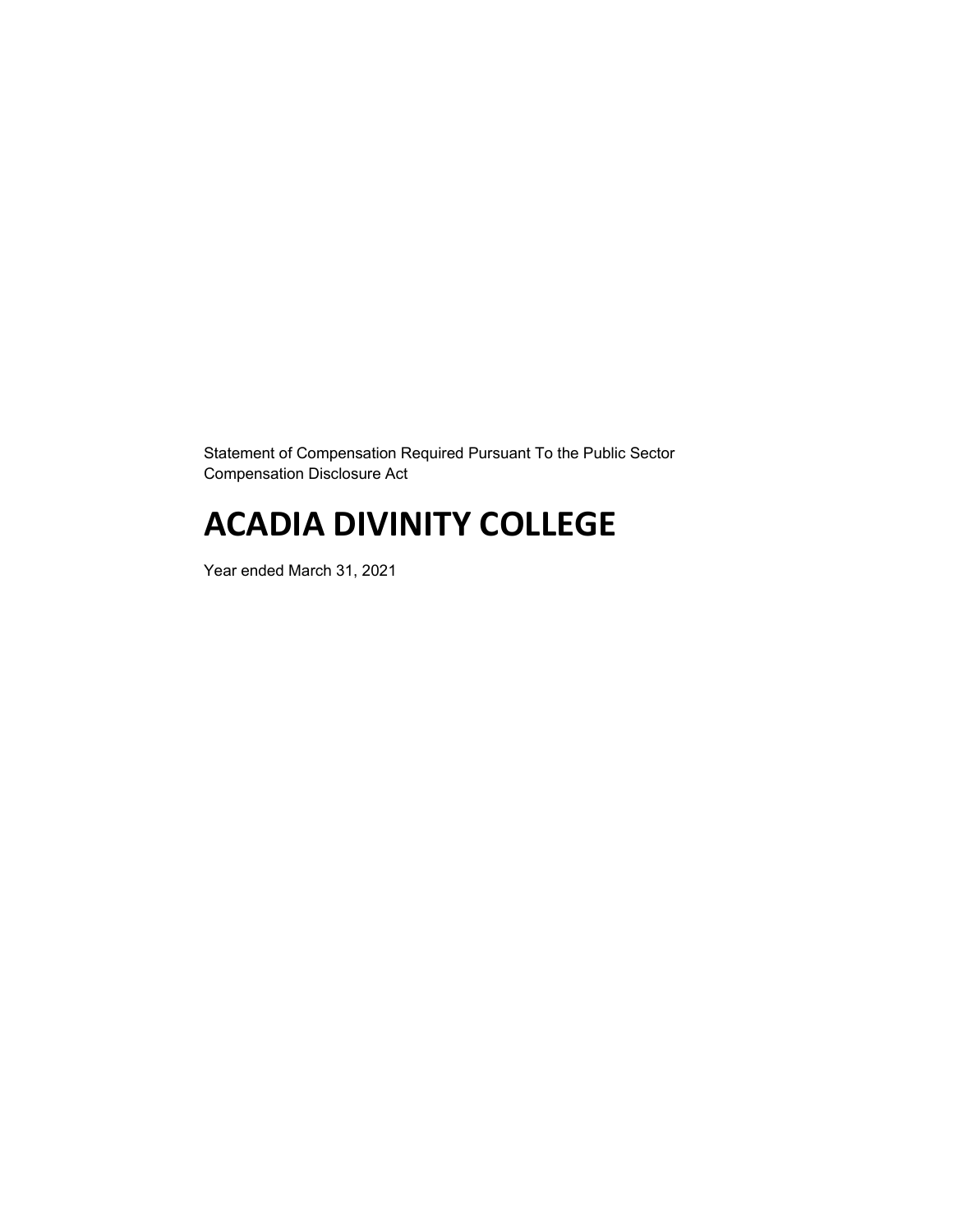Statement of Compensation Required Pursuant To the Public Sector Compensation Disclosure Act

# **ACADIA DIVINITY COLLEGE**

Year ended March 31, 2021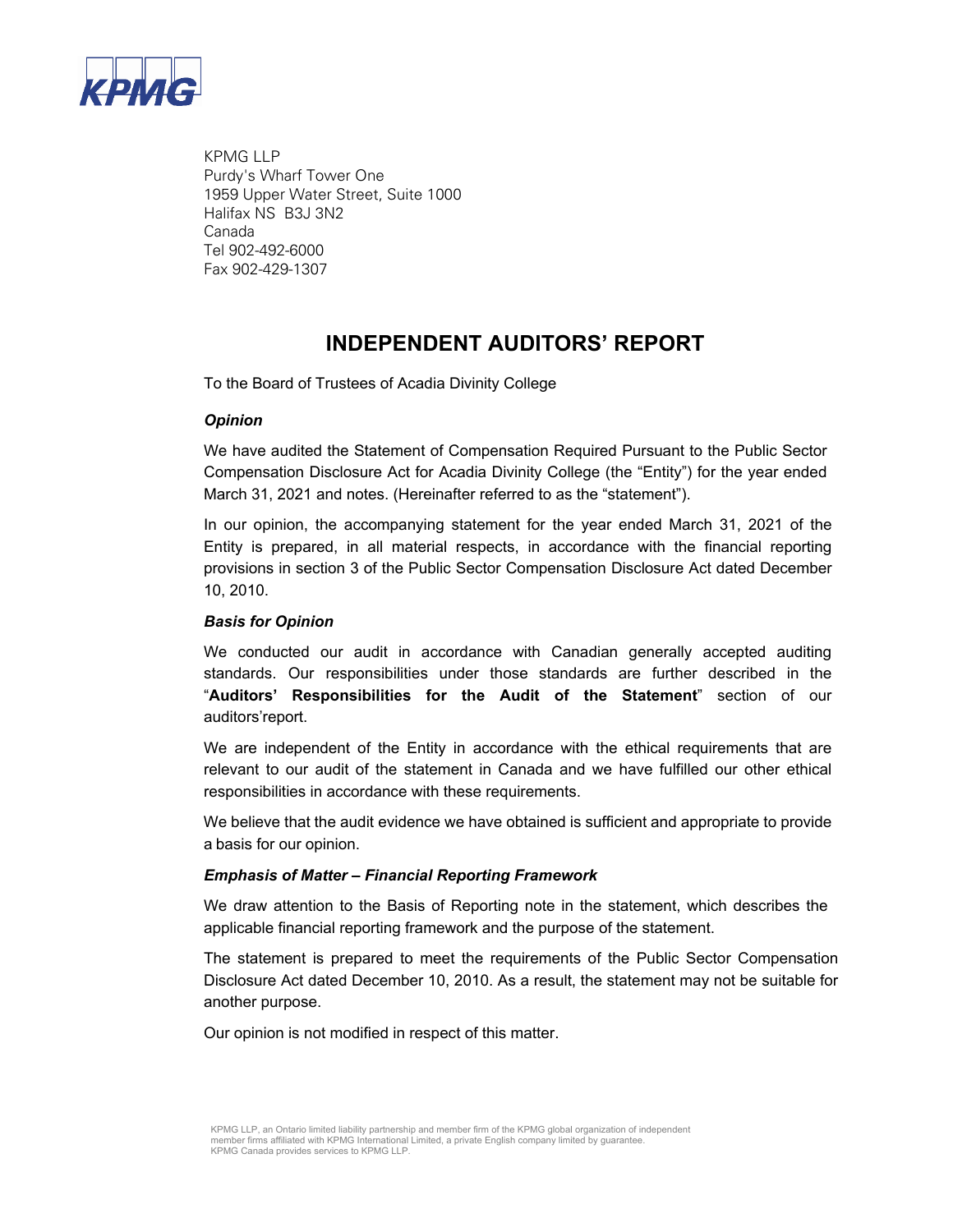

KPMG LLP Purdy's Wharf Tower One 1959 Upper Water Street, Suite 1000 Halifax NS B3J 3N2 Canada Tel 902-492-6000 Fax 902-429-1307

# **INDEPENDENT AUDITORS' REPORT**

To the Board of Trustees of Acadia Divinity College

### *Opinion*

We have audited the Statement of Compensation Required Pursuant to the Public Sector Compensation Disclosure Act for Acadia Divinity College (the "Entity") for the year ended March 31, 2021 and notes. (Hereinafter referred to as the "statement").

In our opinion, the accompanying statement for the year ended March 31, 2021 of the Entity is prepared, in all material respects, in accordance with the financial reporting provisions in section 3 of the Public Sector Compensation Disclosure Act dated December 10, 2010.

#### *Basis for Opinion*

We conducted our audit in accordance with Canadian generally accepted auditing standards. Our responsibilities under those standards are further described in the "**Auditors' Responsibilities for the Audit of the Statement**" section of our auditors'report.

We are independent of the Entity in accordance with the ethical requirements that are relevant to our audit of the statement in Canada and we have fulfilled our other ethical responsibilities in accordance with these requirements.

We believe that the audit evidence we have obtained is sufficient and appropriate to provide a basis for our opinion.

#### *Emphasis of Matter – Financial Reporting Framework*

We draw attention to the Basis of Reporting note in the statement, which describes the applicable financial reporting framework and the purpose of the statement.

The statement is prepared to meet the requirements of the Public Sector Compensation Disclosure Act dated December 10, 2010. As a result, the statement may not be suitable for another purpose.

Our opinion is not modified in respect of this matter.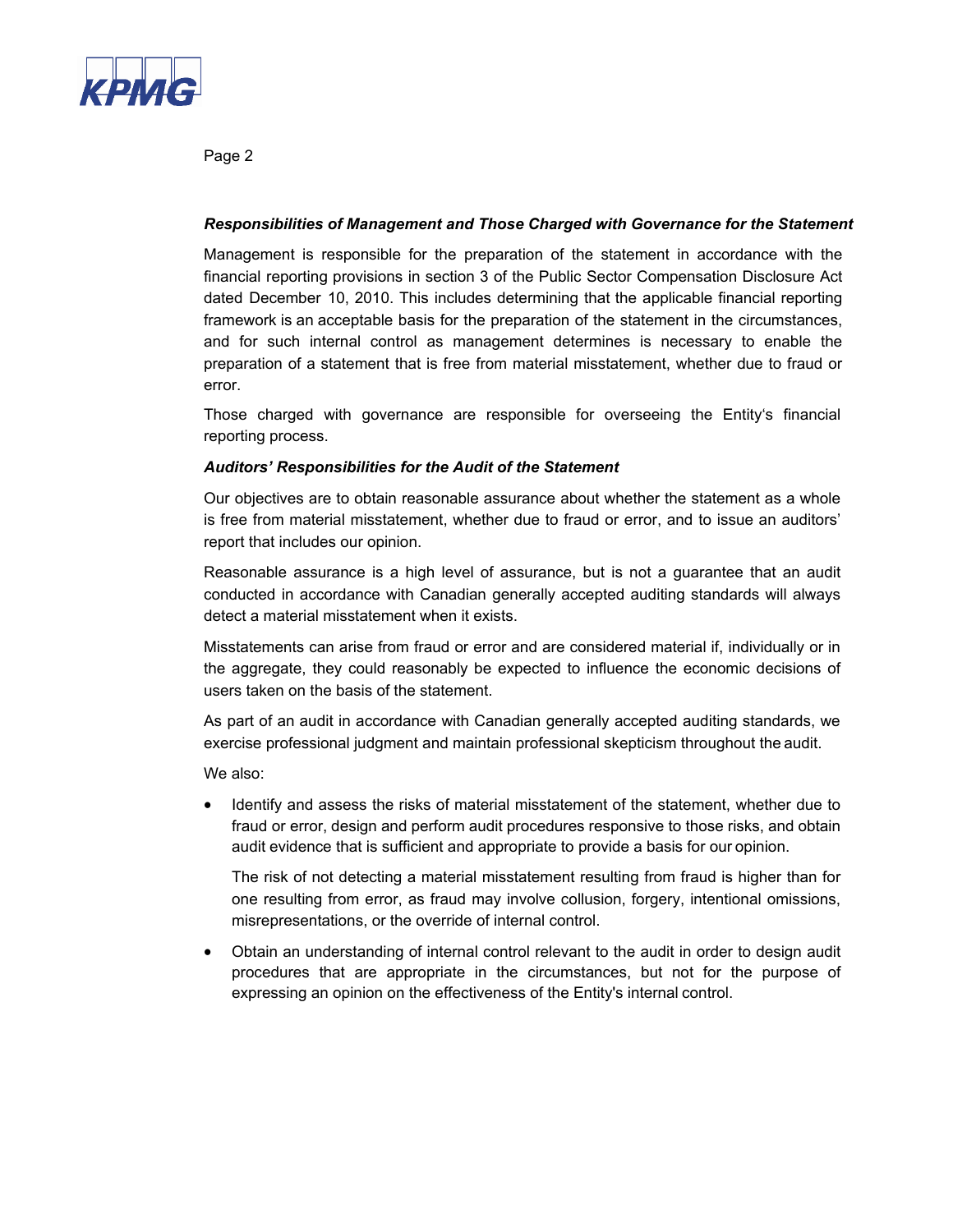

Page 2

### *Responsibilities of Management and Those Charged with Governance for the Statement*

Management is responsible for the preparation of the statement in accordance with the financial reporting provisions in section 3 of the Public Sector Compensation Disclosure Act dated December 10, 2010. This includes determining that the applicable financial reporting framework is an acceptable basis for the preparation of the statement in the circumstances, and for such internal control as management determines is necessary to enable the preparation of a statement that is free from material misstatement, whether due to fraud or error.

Those charged with governance are responsible for overseeing the Entity's financial reporting process.

### *Auditors' Responsibilities for the Audit of the Statement*

Our objectives are to obtain reasonable assurance about whether the statement as a whole is free from material misstatement, whether due to fraud or error, and to issue an auditors' report that includes our opinion.

Reasonable assurance is a high level of assurance, but is not a guarantee that an audit conducted in accordance with Canadian generally accepted auditing standards will always detect a material misstatement when it exists.

Misstatements can arise from fraud or error and are considered material if, individually or in the aggregate, they could reasonably be expected to influence the economic decisions of users taken on the basis of the statement.

As part of an audit in accordance with Canadian generally accepted auditing standards, we exercise professional judgment and maintain professional skepticism throughout the audit.

We also:

 Identify and assess the risks of material misstatement of the statement, whether due to fraud or error, design and perform audit procedures responsive to those risks, and obtain audit evidence that is sufficient and appropriate to provide a basis for our opinion.

The risk of not detecting a material misstatement resulting from fraud is higher than for one resulting from error, as fraud may involve collusion, forgery, intentional omissions, misrepresentations, or the override of internal control.

 Obtain an understanding of internal control relevant to the audit in order to design audit procedures that are appropriate in the circumstances, but not for the purpose of expressing an opinion on the effectiveness of the Entity's internal control.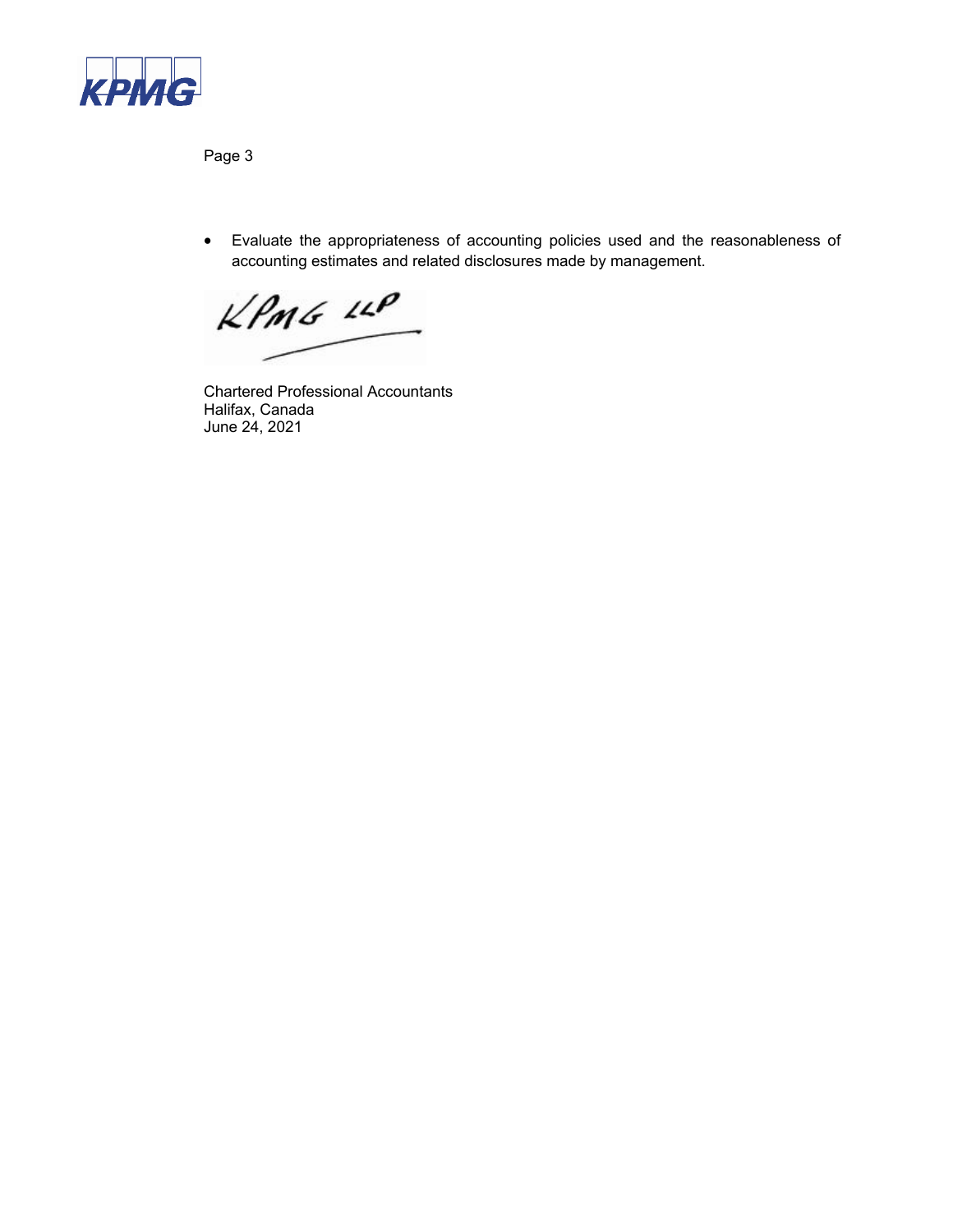

Page 3

 Evaluate the appropriateness of accounting policies used and the reasonableness of accounting estimates and related disclosures made by management.

 $kPm6$   $10P$ 

Chartered Professional Accountants Halifax, Canada June 24, 2021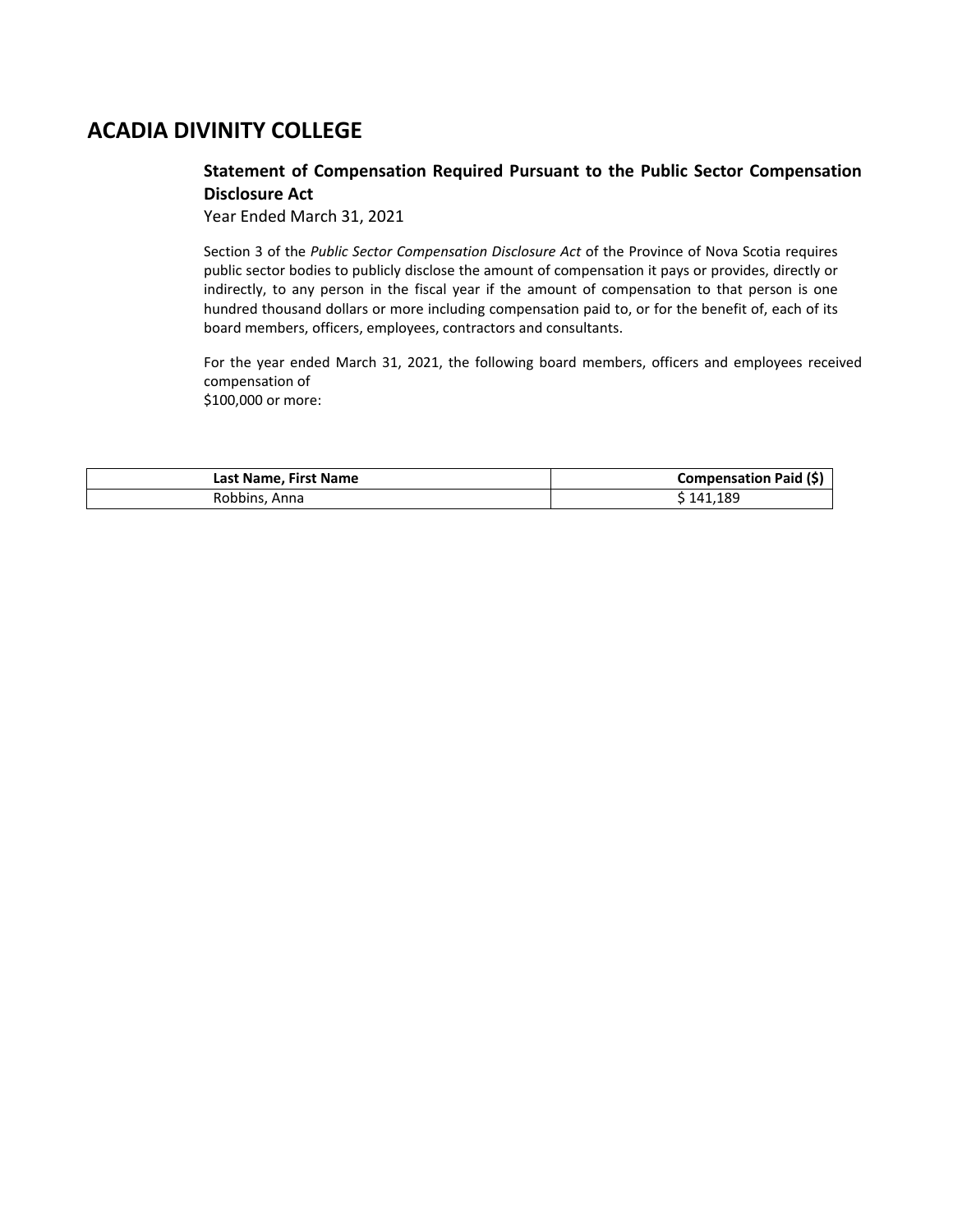# **ACADIA DIVINITY COLLEGE**

### **Statement of Compensation Required Pursuant to the Public Sector Compensation Disclosure Act**

Year Ended March 31, 2021

Section 3 of the *Public Sector Compensation Disclosure Act* of the Province of Nova Scotia requires public sector bodies to publicly disclose the amount of compensation it pays or provides, directly or indirectly, to any person in the fiscal year if the amount of compensation to that person is one hundred thousand dollars or more including compensation paid to, or for the benefit of, each of its board members, officers, employees, contractors and consultants.

For the year ended March 31, 2021, the following board members, officers and employees received compensation of \$100,000 or more:

| Last Name, First Name | Compensation Paid (\$) |
|-----------------------|------------------------|
| Robbins, Anna         | <sup>↑</sup> 141,189   |